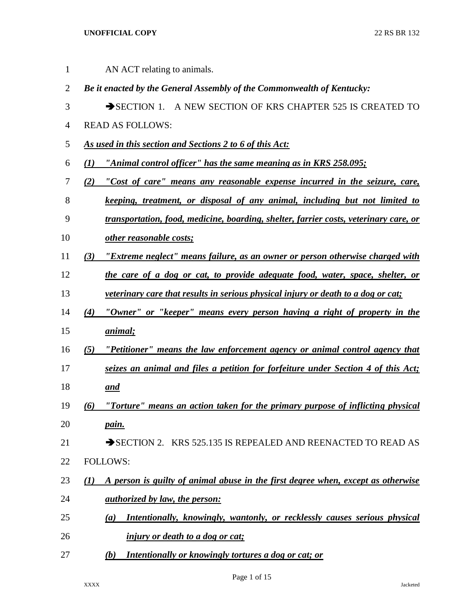| $\mathbf{1}$   | AN ACT relating to animals.                                                                      |
|----------------|--------------------------------------------------------------------------------------------------|
| $\overline{2}$ | Be it enacted by the General Assembly of the Commonwealth of Kentucky:                           |
| 3              | SECTION 1. A NEW SECTION OF KRS CHAPTER 525 IS CREATED TO                                        |
| 4              | <b>READ AS FOLLOWS:</b>                                                                          |
| 5              | As used in this section and Sections 2 to 6 of this Act:                                         |
| 6              | "Animal control officer" has the same meaning as in KRS 258.095;<br>(I)                          |
| 7              | "Cost of care" means any reasonable expense incurred in the seizure, care,<br>(2)                |
| 8              | keeping, treatment, or disposal of any animal, including but not limited to                      |
| 9              | transportation, food, medicine, boarding, shelter, farrier costs, veterinary care, or            |
| 10             | other reasonable costs;                                                                          |
| 11             | "Extreme neglect" means failure, as an owner or person otherwise charged with<br>(3)             |
| 12             | the care of a dog or cat, to provide adequate food, water, space, shelter, or                    |
| 13             | veterinary care that results in serious physical injury or death to a dog or cat;                |
| 14             | "Owner" or "keeper" means every person having a right of property in the<br>(4)                  |
| 15             | animal;                                                                                          |
| 16             | "Petitioner" means the law enforcement agency or animal control agency that<br>(5)               |
| 17             | seizes an animal and files a petition for forfeiture under Section 4 of this Act;                |
| 18             | <u>and</u>                                                                                       |
| 19             | "Torture" means an action taken for the primary purpose of inflicting physical<br>(6)            |
| 20             | pain.                                                                                            |
| 21             | SECTION 2. KRS 525.135 IS REPEALED AND REENACTED TO READ AS                                      |
| 22             | <b>FOLLOWS:</b>                                                                                  |
| 23             | A person is guilty of animal abuse in the first degree when, except as otherwise<br>$\mathbf{U}$ |
| 24             | <u>authorized by law, the person:</u>                                                            |
| 25             | Intentionally, knowingly, wantonly, or recklessly causes serious physical<br>(a)                 |
| 26             | <i>injury or death to a dog or cat;</i>                                                          |
| 27             | Intentionally or knowingly tortures a dog or cat; or<br>(b)                                      |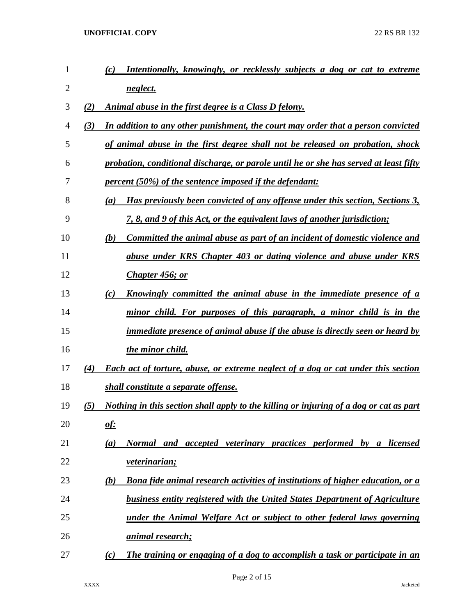| $\mathbf{1}$ |     | (c)<br>Intentionally, knowingly, or recklessly subjects a dog or cat to extreme          |
|--------------|-----|------------------------------------------------------------------------------------------|
| 2            |     | neglect.                                                                                 |
| 3            | (2) | <u>Animal abuse in the first degree is a Class D felony.</u>                             |
| 4            | (3) | In addition to any other punishment, the court may order that a person convicted         |
| 5            |     | of animal abuse in the first degree shall not be released on probation, shock            |
| 6            |     | probation, conditional discharge, or parole until he or she has served at least fifty    |
| 7            |     | <i>percent (50%) of the sentence imposed if the defendant:</i>                           |
| 8            |     | Has previously been convicted of any offense under this section, Sections 3,<br>(a)      |
| 9            |     | <u>7, 8, and 9 of this Act, or the equivalent laws of another jurisdiction;</u>          |
| 10           |     | <u>Committed the animal abuse as part of an incident of domestic violence and</u><br>(b) |
| 11           |     | abuse under KRS Chapter 403 or dating violence and abuse under KRS                       |
| 12           |     | Chapter 456; or                                                                          |
| 13           |     | <u>Knowingly committed the animal abuse in the immediate presence of a</u><br>(c)        |
| 14           |     | minor child. For purposes of this paragraph, a minor child is in the                     |
| 15           |     | <i>immediate presence of animal abuse if the abuse is directly seen or heard by</i>      |
| 16           |     | the minor child.                                                                         |
| 17           | (4) | Each act of torture, abuse, or extreme neglect of a dog or cat under this section        |
| 18           |     | shall constitute a separate offense.                                                     |
| 19           | (5) | Nothing in this section shall apply to the killing or injuring of a dog or cat as part   |
| 20           |     | <u>of:</u>                                                                               |
| 21           |     | Normal and accepted veterinary practices performed by a licensed<br>(a)                  |
| 22           |     | <u>veterinarian;</u>                                                                     |
| 23           |     | Bona fide animal research activities of institutions of higher education, or a<br>(b)    |
| 24           |     | business entity registered with the United States Department of Agriculture              |
| 25           |     | under the Animal Welfare Act or subject to other federal laws governing                  |
| 26           |     | <u>animal research;</u>                                                                  |
| 27           |     | The training or engaging of a dog to accomplish a task or participate in an<br>(c)       |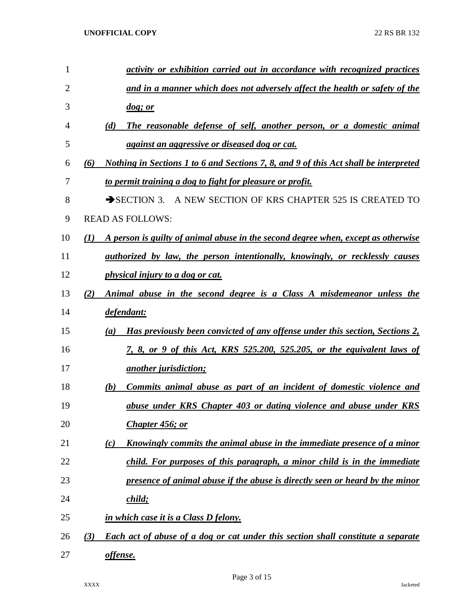| $\mathbf{1}$ | activity or exhibition carried out in accordance with recognized practices                            |
|--------------|-------------------------------------------------------------------------------------------------------|
| 2            | and in a manner which does not adversely affect the health or safety of the                           |
| 3            | $\log$ ; or                                                                                           |
| 4            | The reasonable defense of self, another person, or a domestic animal<br>(d)                           |
| 5            | <i>against an aggressive or diseased dog or cat.</i>                                                  |
| 6            | <u>Nothing in Sections 1 to 6 and Sections 7, 8, and 9 of this Act shall be interpreted</u><br>(6)    |
| 7            | to permit training a dog to fight for pleasure or profit.                                             |
| 8            | SECTION 3. A NEW SECTION OF KRS CHAPTER 525 IS CREATED TO                                             |
| 9            | <b>READ AS FOLLOWS:</b>                                                                               |
| 10           | A person is guilty of animal abuse in the second degree when, except as otherwise<br>$\mathcal{L}(I)$ |
| 11           | <i>authorized by law, the person intentionally, knowingly, or recklessly causes</i>                   |
| 12           | <i>physical injury to a dog or cat.</i>                                                               |
| 13           | Animal abuse in the second degree is a Class A misdemeanor unless the<br>(2)                          |
| 14           | defendant:                                                                                            |
| 15           | Has previously been convicted of any offense under this section, Sections 2,<br>(a)                   |
| 16           | 7, 8, or 9 of this Act, KRS 525.200, 525.205, or the equivalent laws of                               |
| 17           | <i><u>another jurisdiction;</u></i>                                                                   |
| 18           | Commits animal abuse as part of an incident of domestic violence and<br>(b)                           |
| 19           | abuse under KRS Chapter 403 or dating violence and abuse under KRS                                    |
| 20           | Chapter 456; or                                                                                       |
| 21           | Knowingly commits the animal abuse in the immediate presence of a minor<br>(c)                        |
| 22           | child. For purposes of this paragraph, a minor child is in the immediate                              |
| 23           | presence of animal abuse if the abuse is directly seen or heard by the minor                          |
| 24           | child;                                                                                                |
| 25           | in which case it is a Class D felony.                                                                 |
| 26           | Each act of abuse of a dog or cat under this section shall constitute a separate<br>(3)               |
| 27           | offense.                                                                                              |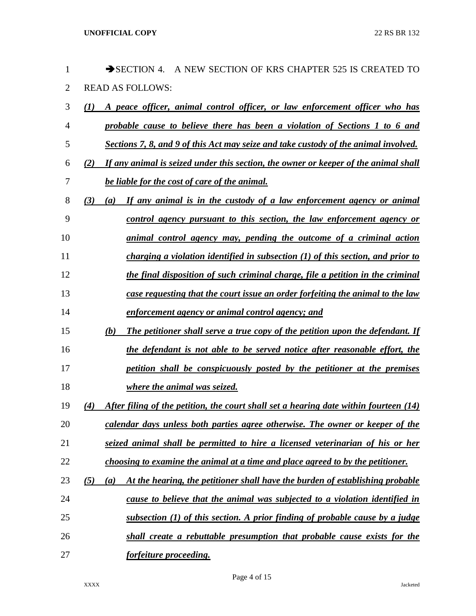| 1              | $\rightarrow$ SECTION 4.<br>A NEW SECTION OF KRS CHAPTER 525 IS CREATED TO                   |
|----------------|----------------------------------------------------------------------------------------------|
| $\overline{2}$ | <b>READ AS FOLLOWS:</b>                                                                      |
| 3              | A peace officer, animal control officer, or law enforcement officer who has<br>(I)           |
| 4              | probable cause to believe there has been a violation of Sections 1 to 6 and                  |
| 5              | Sections 7, 8, and 9 of this Act may seize and take custody of the animal involved.          |
| 6              | If any animal is seized under this section, the owner or keeper of the animal shall<br>(2)   |
| 7              | be liable for the cost of care of the animal.                                                |
| 8              | If any animal is in the custody of a law enforcement agency or animal<br>(3)<br>(a)          |
| 9              | control agency pursuant to this section, the law enforcement agency or                       |
| 10             | animal control agency may, pending the outcome of a criminal action                          |
| 11             | charging a violation identified in subsection $(1)$ of this section, and prior to            |
| 12             | the final disposition of such criminal charge, file a petition in the criminal               |
| 13             | case requesting that the court issue an order forfeiting the animal to the law               |
| 14             | enforcement agency or animal control agency; and                                             |
| 15             | The petitioner shall serve a true copy of the petition upon the defendant. If<br>(b)         |
| 16             | the defendant is not able to be served notice after reasonable effort, the                   |
| 17             | petition shall be conspicuously posted by the petitioner at the premises                     |
| 18             | where the animal was seized.                                                                 |
| 19             | After filing of the petition, the court shall set a hearing date within fourteen (14)<br>(4) |
| 20             | calendar days unless both parties agree otherwise. The owner or keeper of the                |
| 21             | seized animal shall be permitted to hire a licensed veterinarian of his or her               |
| 22             | choosing to examine the animal at a time and place agreed to by the petitioner.              |
| 23             | At the hearing, the petitioner shall have the burden of establishing probable<br>(5)<br>(a)  |
| 24             | cause to believe that the animal was subjected to a violation identified in                  |
| 25             | subsection $(1)$ of this section. A prior finding of probable cause by a judge               |
| 26             | shall create a rebuttable presumption that probable cause exists for the                     |
| 27             | forfeiture proceeding.                                                                       |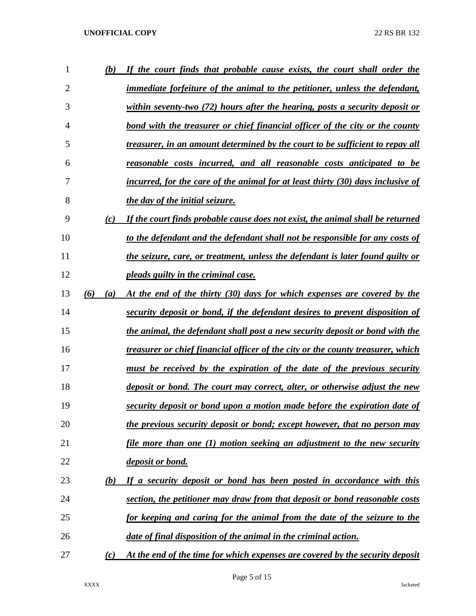| 1              | (b)        | If the court finds that probable cause exists, the court shall order the               |
|----------------|------------|----------------------------------------------------------------------------------------|
| $\overline{2}$ |            | <i>immediate forfeiture of the animal to the petitioner, unless the defendant,</i>     |
| 3              |            | within seventy-two (72) hours after the hearing, posts a security deposit or           |
| 4              |            | bond with the treasurer or chief financial officer of the city or the county           |
| 5              |            | treasurer, in an amount determined by the court to be sufficient to repay all          |
| 6              |            | reasonable costs incurred, and all reasonable costs anticipated to be                  |
| 7              |            | incurred, for the care of the animal for at least thirty (30) days inclusive of        |
| 8              |            | the day of the initial seizure.                                                        |
| 9              | (c)        | If the court finds probable cause does not exist, the animal shall be returned         |
| 10             |            | to the defendant and the defendant shall not be responsible for any costs of           |
| 11             |            | the seizure, care, or treatment, unless the defendant is later found guilty or         |
| 12             |            | pleads guilty in the criminal case.                                                    |
| 13             | (6)<br>(a) | At the end of the thirty (30) days for which expenses are covered by the               |
| 14             |            | security deposit or bond, if the defendant desires to prevent disposition of           |
| 15             |            | the animal, the defendant shall post a new security deposit or bond with the           |
| 16             |            | <u>treasurer or chief financial officer of the city or the county treasurer, which</u> |
| 17             |            | <u>must be received by the expiration of the date of the previous security</u>         |
| 18             |            | deposit or bond. The court may correct, alter, or otherwise adjust the new             |
| 19             |            | security deposit or bond upon a motion made before the expiration date of              |
| 20             |            | the previous security deposit or bond; except however, that no person may              |
| 21             |            | <u>file more than one (1) motion seeking an adjustment to the new security</u>         |
| 22             |            | <u>deposit or bond.</u>                                                                |
| 23             | (b)        | If a security deposit or bond has been posted in accordance with this                  |
| 24             |            | section, the petitioner may draw from that deposit or bond reasonable costs            |
| 25             |            | for keeping and caring for the animal from the date of the seizure to the              |
| 26             |            | date of final disposition of the animal in the criminal action.                        |
| 27             | (c)        | At the end of the time for which expenses are covered by the security deposit          |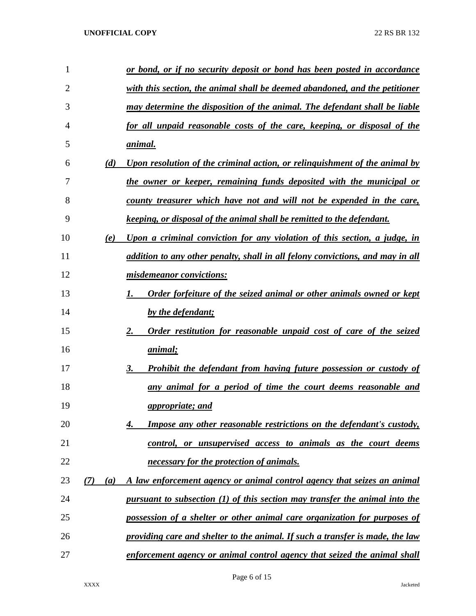| 1  |            | or bond, or if no security deposit or bond has been posted in accordance          |
|----|------------|-----------------------------------------------------------------------------------|
| 2  |            | with this section, the animal shall be deemed abandoned, and the petitioner       |
| 3  |            | may determine the disposition of the animal. The defendant shall be liable        |
| 4  |            | for all unpaid reasonable costs of the care, keeping, or disposal of the          |
| 5  |            | <u>animal.</u>                                                                    |
| 6  | (d)        | <u>Upon resolution of the criminal action, or relinguishment of the animal by</u> |
| 7  |            | the owner or keeper, remaining funds deposited with the municipal or              |
| 8  |            | county treasurer which have not and will not be expended in the care,             |
| 9  |            | keeping, or disposal of the animal shall be remitted to the defendant.            |
| 10 | (e)        | Upon a criminal conviction for any violation of this section, a judge, in         |
| 11 |            | addition to any other penalty, shall in all felony convictions, and may in all    |
| 12 |            | misdemeanor convictions:                                                          |
| 13 |            | <b>Order forfeiture of the seized animal or other animals owned or kept</b>       |
| 14 |            | by the defendant;                                                                 |
| 15 |            | Order restitution for reasonable unpaid cost of care of the seized<br>2.          |
| 16 |            | <i>animal</i> ;                                                                   |
| 17 |            | <b>Prohibit the defendant from having future possession or custody of</b><br>3.   |
| 18 |            | any animal for a period of time the court deems reasonable and                    |
| 19 |            | appropriate; and                                                                  |
| 20 |            | <b>Impose any other reasonable restrictions on the defendant's custody,</b><br>4. |
| 21 |            | control, or unsupervised access to animals as the court deems                     |
| 22 |            | necessary for the protection of animals.                                          |
| 23 | (7)<br>(a) | A law enforcement agency or animal control agency that seizes an animal           |
| 24 |            | pursuant to subsection $(1)$ of this section may transfer the animal into the     |
| 25 |            | possession of a shelter or other animal care organization for purposes of         |
| 26 |            | providing care and shelter to the animal. If such a transfer is made, the law     |
| 27 |            | enforcement agency or animal control agency that seized the animal shall          |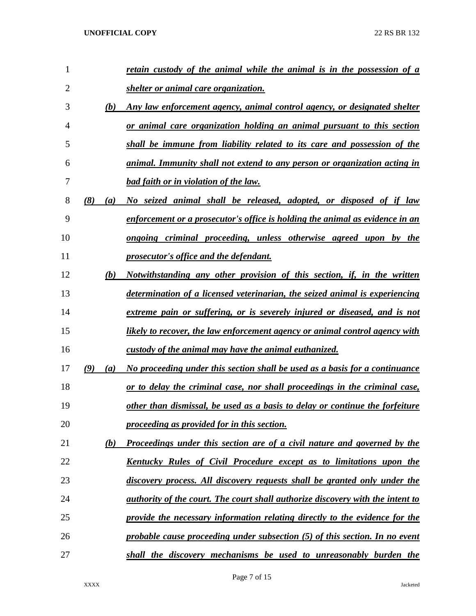| $\mathbf{1}$   |            | retain custody of the animal while the animal is in the possession of a        |
|----------------|------------|--------------------------------------------------------------------------------|
| $\overline{2}$ |            | shelter or animal care organization.                                           |
| 3              | (b)        | Any law enforcement agency, animal control agency, or designated shelter       |
| 4              |            | or animal care organization holding an animal pursuant to this section         |
| 5              |            | shall be immune from liability related to its care and possession of the       |
| 6              |            | animal. Immunity shall not extend to any person or organization acting in      |
| 7              |            | <b>bad faith or in violation of the law.</b>                                   |
| 8              | (8)<br>(a) | No seized animal shall be released, adopted, or disposed of if law             |
| 9              |            | enforcement or a prosecutor's office is holding the animal as evidence in an   |
| 10             |            | <u>ongoing criminal proceeding, unless otherwise agreed upon by the</u>        |
| 11             |            | prosecutor's office and the defendant.                                         |
| 12             | (b)        | Notwithstanding any other provision of this section, if, in the written        |
| 13             |            | determination of a licensed veterinarian, the seized animal is experiencing    |
| 14             |            | extreme pain or suffering, or is severely injured or diseased, and is not      |
| 15             |            | likely to recover, the law enforcement agency or animal control agency with    |
| 16             |            | custody of the animal may have the animal euthanized.                          |
| 17             | (9)<br>(a) | No proceeding under this section shall be used as a basis for a continuance    |
| 18             |            | or to delay the criminal case, nor shall proceedings in the criminal case,     |
| 19             |            | other than dismissal, be used as a basis to delay or continue the forfeiture   |
| 20             |            | proceeding as provided for in this section.                                    |
| 21             | (b)        | Proceedings under this section are of a civil nature and governed by the       |
| 22             |            | Kentucky Rules of Civil Procedure except as to limitations upon the            |
| 23             |            | discovery process. All discovery requests shall be granted only under the      |
| 24             |            | authority of the court. The court shall authorize discovery with the intent to |
| 25             |            | provide the necessary information relating directly to the evidence for the    |
| 26             |            | probable cause proceeding under subsection (5) of this section. In no event    |
| 27             |            | shall the discovery mechanisms be used to unreasonably burden the              |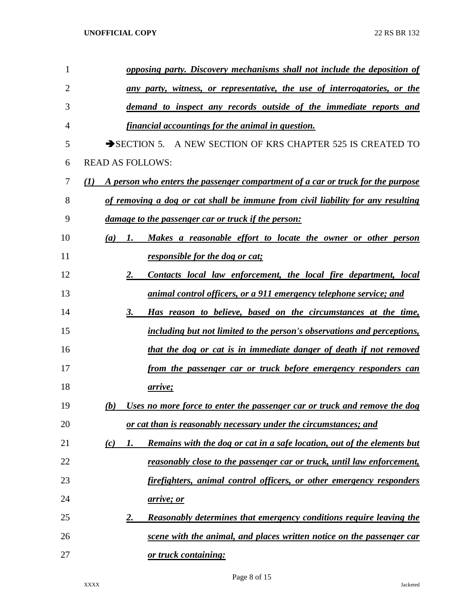| 1  | opposing party. Discovery mechanisms shall not include the deposition of                            |
|----|-----------------------------------------------------------------------------------------------------|
| 2  | <u>any party, witness, or representative, the use of interrogatories, or the</u>                    |
| 3  | demand to inspect any records outside of the immediate reports and                                  |
| 4  | financial accountings for the animal in question.                                                   |
| 5  | SECTION 5. A NEW SECTION OF KRS CHAPTER 525 IS CREATED TO                                           |
| 6  | <b>READ AS FOLLOWS:</b>                                                                             |
| 7  | A person who enters the passenger compartment of a car or truck for the purpose<br>$\mathcal{L}(I)$ |
| 8  | of removing a dog or cat shall be immune from civil liability for any resulting                     |
| 9  | <u>damage to the passenger car or truck if the person:</u>                                          |
| 10 | Makes a reasonable effort to locate the owner or other person<br>(a)<br>1.                          |
| 11 | responsible for the dog or cat;                                                                     |
| 12 | Contacts local law enforcement, the local fire department, local<br><u>2.</u>                       |
| 13 | <u>animal control officers, or a 911 emergency telephone service; and</u>                           |
| 14 | Has reason to believe, based on the circumstances at the time,<br>3.                                |
| 15 | including but not limited to the person's observations and perceptions,                             |
| 16 | that the dog or cat is in immediate danger of death if not removed                                  |
| 17 | <u>from the passenger car or truck before emergency responders can</u>                              |
| 18 | <u>arrive;</u>                                                                                      |
| 19 | Uses no more force to enter the passenger car or truck and remove the dog<br>(b)                    |
| 20 | or cat than is reasonably necessary under the circumstances; and                                    |
| 21 | Remains with the dog or cat in a safe location, out of the elements but<br>(c)<br>1.                |
| 22 | <u>reasonably close to the passenger car or truck, until law enforcement,</u>                       |
| 23 | firefighters, animal control officers, or other emergency responders                                |
| 24 | <u>arrive; or</u>                                                                                   |
| 25 | <b>Reasonably determines that emergency conditions require leaving the</b><br><u>2.</u>             |
| 26 | scene with the animal, and places written notice on the passenger car                               |
| 27 | or truck containing:                                                                                |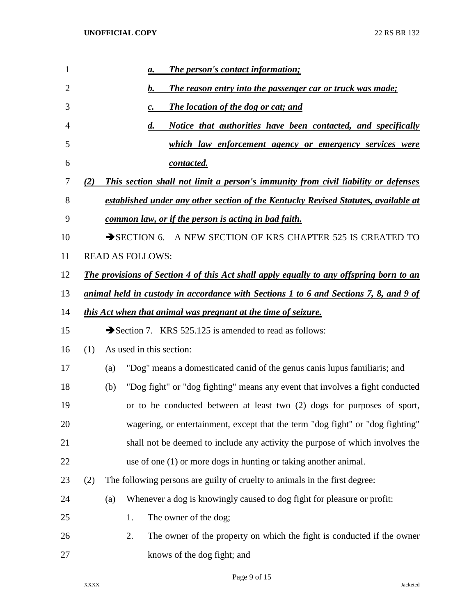| $\mathbf{1}$   |     | The person's contact information;<br>$\mathbf{a}$ .                                            |
|----------------|-----|------------------------------------------------------------------------------------------------|
| $\overline{2}$ |     | <b>The reason entry into the passenger car or truck was made;</b><br>$\mathbf{b}$ .            |
| 3              |     | <b>The location of the dog or cat; and</b><br>$\mathbf{c}$ .                                   |
| 4              |     | $\boldsymbol{d}$ .<br>Notice that authorities have been contacted, and specifically            |
| 5              |     | <u>which law enforcement agency or emergency services were</u>                                 |
| 6              |     | <u>contacted.</u>                                                                              |
| 7              | (2) | This section shall not limit a person's immunity from civil liability or defenses              |
| 8              |     | established under any other section of the Kentucky Revised Statutes, available at             |
| 9              |     | common law, or if the person is acting in bad faith.                                           |
| 10             |     | SECTION 6. A NEW SECTION OF KRS CHAPTER 525 IS CREATED TO                                      |
| 11             |     | <b>READ AS FOLLOWS:</b>                                                                        |
| 12             |     | <b>The provisions of Section 4 of this Act shall apply equally to any offspring born to an</b> |
| 13             |     | <u>animal held in custody in accordance with Sections 1 to 6 and Sections 7, 8, and 9 of</u>   |
| 14             |     | <u>this Act when that animal was pregnant at the time of seizure.</u>                          |
| 15             |     | Section 7. KRS 525.125 is amended to read as follows:                                          |
| 16             | (1) | As used in this section:                                                                       |
| 17             |     | "Dog" means a domesticated canid of the genus canis lupus familiaris; and<br>(a)               |
| 18             |     | "Dog fight" or "dog fighting" means any event that involves a fight conducted<br>(b)           |
| 19             |     | or to be conducted between at least two (2) dogs for purposes of sport,                        |
| 20             |     | wagering, or entertainment, except that the term "dog fight" or "dog fighting"                 |
| 21             |     | shall not be deemed to include any activity the purpose of which involves the                  |
| 22             |     | use of one $(1)$ or more dogs in hunting or taking another animal.                             |
| 23             | (2) | The following persons are guilty of cruelty to animals in the first degree:                    |
| 24             |     | Whenever a dog is knowingly caused to dog fight for pleasure or profit:<br>(a)                 |
| 25             |     | 1.<br>The owner of the dog;                                                                    |
| 26             |     | 2.<br>The owner of the property on which the fight is conducted if the owner                   |
| 27             |     | knows of the dog fight; and                                                                    |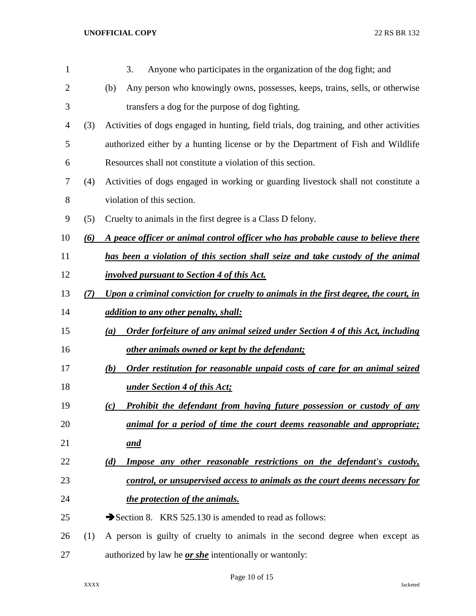| $\mathbf{1}$   |     | 3.<br>Anyone who participates in the organization of the dog fight; and                 |
|----------------|-----|-----------------------------------------------------------------------------------------|
| $\overline{2}$ |     | Any person who knowingly owns, possesses, keeps, trains, sells, or otherwise<br>(b)     |
| 3              |     | transfers a dog for the purpose of dog fighting.                                        |
| $\overline{4}$ | (3) | Activities of dogs engaged in hunting, field trials, dog training, and other activities |
| 5              |     | authorized either by a hunting license or by the Department of Fish and Wildlife        |
| 6              |     | Resources shall not constitute a violation of this section.                             |
| 7              | (4) | Activities of dogs engaged in working or guarding livestock shall not constitute a      |
| 8              |     | violation of this section.                                                              |
| 9              | (5) | Cruelty to animals in the first degree is a Class D felony.                             |
| 10             | (6) | A peace officer or animal control officer who has probable cause to believe there       |
| 11             |     | has been a violation of this section shall seize and take custody of the animal         |
| 12             |     | <i>involved pursuant to Section 4 of this Act.</i>                                      |
| 13             | (7) | Upon a criminal conviction for cruelty to animals in the first degree, the court, in    |
| 14             |     | <i>addition to any other penalty, shall:</i>                                            |
| 15             |     | Order forfeiture of any animal seized under Section 4 of this Act, including<br>(a)     |
| 16             |     | other animals owned or kept by the defendant;                                           |
| 17             |     | Order restitution for reasonable unpaid costs of care for an animal seized<br>(b)       |
| 18             |     | <u>under Section 4 of this Act;</u>                                                     |
| 19             |     | Prohibit the defendant from having future possession or custody of any<br>(c)           |
| 20             |     | animal for a period of time the court deems reasonable and appropriate;                 |
| 21             |     | <u>and</u>                                                                              |
| 22             |     | <b>Impose any other reasonable restrictions on the defendant's custody,</b><br>(d)      |
| 23             |     | control, or unsupervised access to animals as the court deems necessary for             |
| 24             |     | the protection of the animals.                                                          |
| 25             |     | Section 8. KRS 525.130 is amended to read as follows:                                   |
| 26             | (1) | A person is guilty of cruelty to animals in the second degree when except as            |
| 27             |     | authorized by law he <b>or she</b> intentionally or wantonly:                           |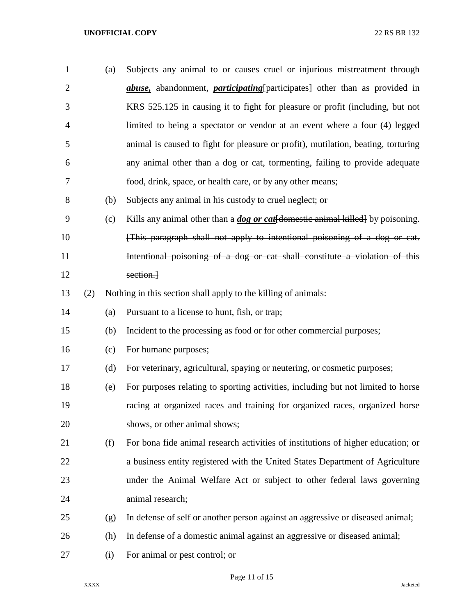| $\mathbf{1}$   |     | (a) | Subjects any animal to or causes cruel or injurious mistreatment through                  |
|----------------|-----|-----|-------------------------------------------------------------------------------------------|
| $\overline{2}$ |     |     | <i>abuse</i> , abandonment, <i>participating</i> [participates] other than as provided in |
| 3              |     |     | KRS 525.125 in causing it to fight for pleasure or profit (including, but not             |
| 4              |     |     | limited to being a spectator or vendor at an event where a four (4) legged                |
| 5              |     |     | animal is caused to fight for pleasure or profit), mutilation, beating, torturing         |
| 6              |     |     | any animal other than a dog or cat, tormenting, failing to provide adequate               |
| 7              |     |     | food, drink, space, or health care, or by any other means;                                |
| 8              |     | (b) | Subjects any animal in his custody to cruel neglect; or                                   |
| 9              |     | (c) | Kills any animal other than a <i>dog or cat</i> [domestic animal killed] by poisoning.    |
| 10             |     |     | [This paragraph shall not apply to intentional poisoning of a dog or cat.                 |
| 11             |     |     | Intentional poisoning of a dog or cat shall constitute a violation of this                |
| 12             |     |     | section.                                                                                  |
| 13             | (2) |     | Nothing in this section shall apply to the killing of animals:                            |
| 14             |     | (a) | Pursuant to a license to hunt, fish, or trap;                                             |
| 15             |     | (b) | Incident to the processing as food or for other commercial purposes;                      |
| 16             |     | (c) | For humane purposes;                                                                      |
| 17             |     | (d) | For veterinary, agricultural, spaying or neutering, or cosmetic purposes;                 |
| 18             |     | (e) | For purposes relating to sporting activities, including but not limited to horse          |
| 19             |     |     | racing at organized races and training for organized races, organized horse               |
| 20             |     |     | shows, or other animal shows;                                                             |
| 21             |     | (f) | For bona fide animal research activities of institutions of higher education; or          |
| 22             |     |     | a business entity registered with the United States Department of Agriculture             |
| 23             |     |     | under the Animal Welfare Act or subject to other federal laws governing                   |
| 24             |     |     | animal research;                                                                          |
| 25             |     | (g) | In defense of self or another person against an aggressive or diseased animal;            |
| 26             |     | (h) | In defense of a domestic animal against an aggressive or diseased animal;                 |
| 27             |     | (i) | For animal or pest control; or                                                            |

Page 11 of 15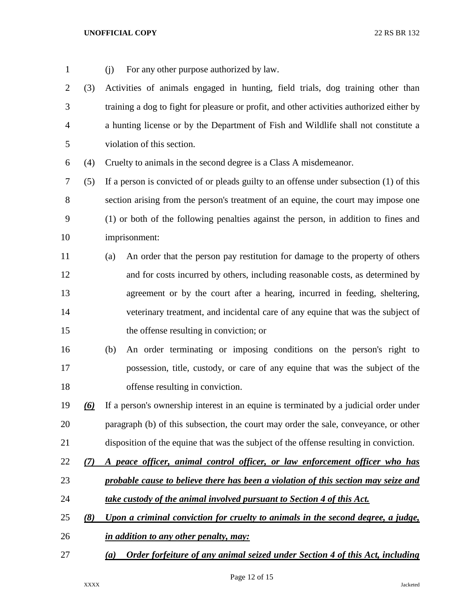| $\mathbf{1}$ |     | For any other purpose authorized by law.<br>(i)                                           |
|--------------|-----|-------------------------------------------------------------------------------------------|
| 2            | (3) | Activities of animals engaged in hunting, field trials, dog training other than           |
| 3            |     | training a dog to fight for pleasure or profit, and other activities authorized either by |
| 4            |     | a hunting license or by the Department of Fish and Wildlife shall not constitute a        |
| 5            |     | violation of this section.                                                                |
| 6            | (4) | Cruelty to animals in the second degree is a Class A misdemeanor.                         |
| 7            | (5) | If a person is convicted of or pleads guilty to an offense under subsection (1) of this   |
| 8            |     | section arising from the person's treatment of an equine, the court may impose one        |
| 9            |     | (1) or both of the following penalties against the person, in addition to fines and       |
| 10           |     | imprisonment:                                                                             |
| 11           |     | An order that the person pay restitution for damage to the property of others<br>(a)      |
| 12           |     | and for costs incurred by others, including reasonable costs, as determined by            |
| 13           |     | agreement or by the court after a hearing, incurred in feeding, sheltering,               |
| 14           |     | veterinary treatment, and incidental care of any equine that was the subject of           |
| 15           |     | the offense resulting in conviction; or                                                   |
| 16           |     | An order terminating or imposing conditions on the person's right to<br>(b)               |
| 17           |     | possession, title, custody, or care of any equine that was the subject of the             |
| 18           |     | offense resulting in conviction.                                                          |
| 19           |     | (6) If a person's ownership interest in an equine is terminated by a judicial order under |
| 20           |     | paragraph (b) of this subsection, the court may order the sale, conveyance, or other      |
| 21           |     | disposition of the equine that was the subject of the offense resulting in conviction.    |
| 22           | (7) | A peace officer, animal control officer, or law enforcement officer who has               |
| 23           |     | probable cause to believe there has been a violation of this section may seize and        |
| 24           |     | take custody of the animal involved pursuant to Section 4 of this Act.                    |
| 25           | (8) | Upon a criminal conviction for cruelty to animals in the second degree, a judge,          |
| 26           |     | in addition to any other penalty, may:                                                    |
| 27           |     | Order forfeiture of any animal seized under Section 4 of this Act, including<br>(a)       |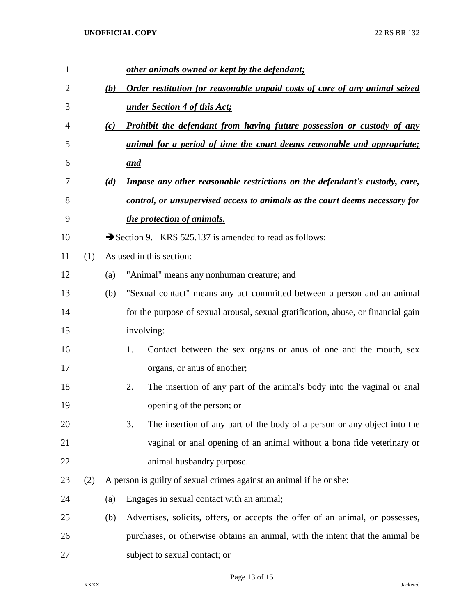| 1  |     |     | other animals owned or kept by the defendant;                                     |
|----|-----|-----|-----------------------------------------------------------------------------------|
| 2  |     | (b) | Order restitution for reasonable unpaid costs of care of any animal seized        |
| 3  |     |     | under Section 4 of this Act;                                                      |
| 4  |     | (c) | <b>Prohibit the defendant from having future possession or custody of any</b>     |
| 5  |     |     | animal for a period of time the court deems reasonable and appropriate;           |
| 6  |     |     | and                                                                               |
| 7  |     | (d) | <b>Impose any other reasonable restrictions on the defendant's custody, care,</b> |
| 8  |     |     | control, or unsupervised access to animals as the court deems necessary for       |
| 9  |     |     | the protection of animals.                                                        |
| 10 |     |     | Section 9. KRS 525.137 is amended to read as follows:                             |
| 11 | (1) |     | As used in this section:                                                          |
| 12 |     | (a) | "Animal" means any nonhuman creature; and                                         |
| 13 |     | (b) | "Sexual contact" means any act committed between a person and an animal           |
| 14 |     |     | for the purpose of sexual arousal, sexual gratification, abuse, or financial gain |
| 15 |     |     | involving:                                                                        |
| 16 |     |     | Contact between the sex organs or anus of one and the mouth, sex<br>1.            |
| 17 |     |     | organs, or anus of another;                                                       |
| 18 |     |     | 2.<br>The insertion of any part of the animal's body into the vaginal or anal     |
| 19 |     |     | opening of the person; or                                                         |
| 20 |     |     | 3.<br>The insertion of any part of the body of a person or any object into the    |
| 21 |     |     | vaginal or anal opening of an animal without a bona fide veterinary or            |
| 22 |     |     | animal husbandry purpose.                                                         |
| 23 | (2) |     | A person is guilty of sexual crimes against an animal if he or she:               |
| 24 |     | (a) | Engages in sexual contact with an animal;                                         |
| 25 |     | (b) | Advertises, solicits, offers, or accepts the offer of an animal, or possesses,    |
| 26 |     |     | purchases, or otherwise obtains an animal, with the intent that the animal be     |
| 27 |     |     | subject to sexual contact; or                                                     |

Page 13 of 15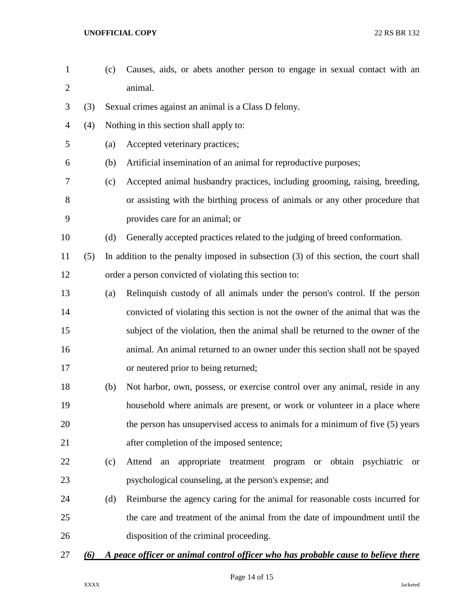animal. (3) Sexual crimes against an animal is a Class D felony. (4) Nothing in this section shall apply to: (a) Accepted veterinary practices; (b) Artificial insemination of an animal for reproductive purposes; (c) Accepted animal husbandry practices, including grooming, raising, breeding, or assisting with the birthing process of animals or any other procedure that provides care for an animal; or (d) Generally accepted practices related to the judging of breed conformation. (5) In addition to the penalty imposed in subsection (3) of this section, the court shall order a person convicted of violating this section to: (a) Relinquish custody of all animals under the person's control. If the person convicted of violating this section is not the owner of the animal that was the subject of the violation, then the animal shall be returned to the owner of the animal. An animal returned to an owner under this section shall not be spayed or neutered prior to being returned; (b) Not harbor, own, possess, or exercise control over any animal, reside in any household where animals are present, or work or volunteer in a place where the person has unsupervised access to animals for a minimum of five (5) years after completion of the imposed sentence; (c) Attend an appropriate treatment program or obtain psychiatric or psychological counseling, at the person's expense; and (d) Reimburse the agency caring for the animal for reasonable costs incurred for the care and treatment of the animal from the date of impoundment until the disposition of the criminal proceeding. *(6) A peace officer or animal control officer who has probable cause to believe there* 

(c) Causes, aids, or abets another person to engage in sexual contact with an